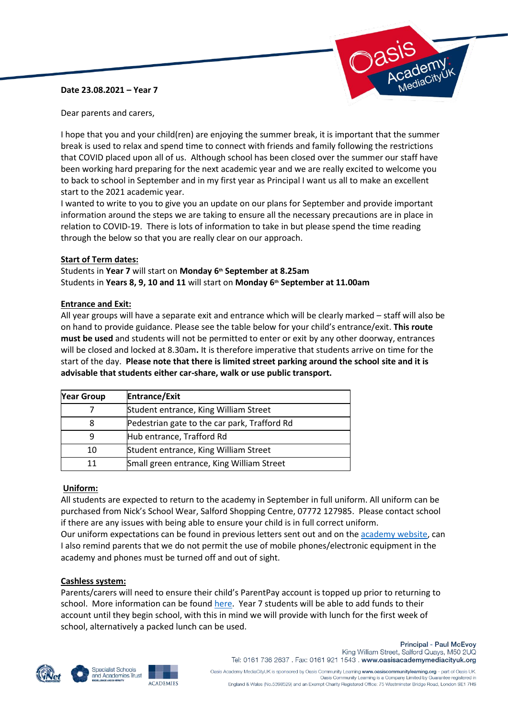# **Date 23.08.2021 – Year 7**



Dear parents and carers,

I hope that you and your child(ren) are enjoying the summer break, it is important that the summer break is used to relax and spend time to connect with friends and family following the restrictions that COVID placed upon all of us. Although school has been closed over the summer our staff have been working hard preparing for the next academic year and we are really excited to welcome you to back to school in September and in my first year as Principal I want us all to make an excellent start to the 2021 academic year.

I wanted to write to you to give you an update on our plans for September and provide important information around the steps we are taking to ensure all the necessary precautions are in place in relation to COVID-19. There is lots of information to take in but please spend the time reading through the below so that you are really clear on our approach.

# **Start of Term dates:**

Students in **Year 7** will start on **Monday 6th September at 8.25am** Students in **Years 8, 9, 10 and 11** will start on **Monday 6th September at 11.00am**

# **Entrance and Exit:**

All year groups will have a separate exit and entrance which will be clearly marked – staff will also be on hand to provide guidance. Please see the table below for your child's entrance/exit. **This route must be used** and students will not be permitted to enter or exit by any other doorway, entrances will be closed and locked at 8.30am**.** It is therefore imperative that students arrive on time for the start of the day. **Please note that there is limited street parking around the school site and it is advisable that students either car-share, walk or use public transport.**

| <b>Year Group</b> | <b>Entrance/Exit</b>                         |
|-------------------|----------------------------------------------|
|                   | Student entrance, King William Street        |
| 8                 | Pedestrian gate to the car park, Trafford Rd |
|                   | Hub entrance, Trafford Rd                    |
| 10                | Student entrance, King William Street        |
| 11                | Small green entrance, King William Street    |

# **Uniform:**

All students are expected to return to the academy in September in full uniform. All uniform can be purchased from Nick's School Wear, Salford Shopping Centre, 07772 127985. Please contact school if there are any issues with being able to ensure your child is in full correct uniform.

Our uniform expectations can be found in previous letters sent out and on the [academy website,](https://www.oasisacademymediacityuk.org/academy-life/uniform) can I also remind parents that we do not permit the use of mobile phones/electronic equipment in the academy and phones must be turned off and out of sight.

#### **Cashless system:**

Parents/carers will need to ensure their child's ParentPay account is topped up prior to returning to school. More information can be found [here.](https://www.oasisacademymediacityuk.org/academy-life/parent-pay) Year 7 students will be able to add funds to their account until they begin school, with this in mind we will provide with lunch for the first week of school, alternatively a packed lunch can be used.







**Principal - Paul McEvoy** King William Street, Salford Quays, M50 2UQ Tel: 0161 736 2637 . Fax: 0161 921 1543 . www.oasisacademymediacityuk.org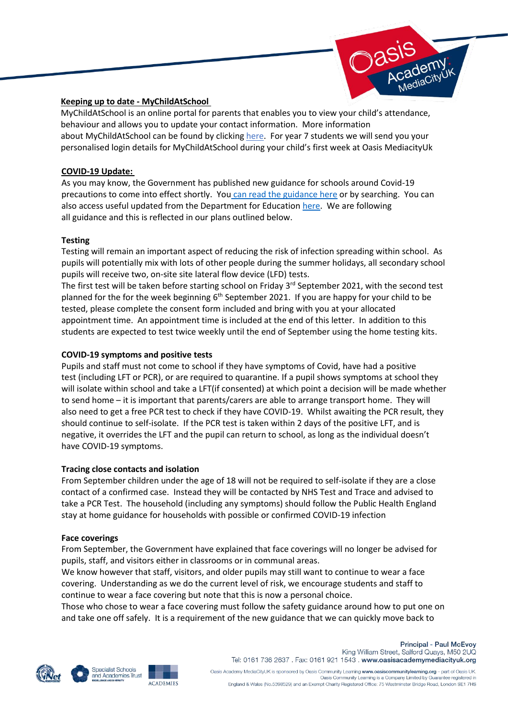

# **Keeping up to date - MyChildAtSchool**

MyChildAtSchool is an online portal for parents that enables you to view your child's attendance, behaviour and allows you to update your contact information. More information about MyChildAtSchool can be found by clicking [here.](https://www.oasisacademymediacityuk.org/academy-life/my-child-at-school-mcas) For year 7 students we will send you your personalised login details for MyChildAtSchool during your child's first week at Oasis MediacityUk

### **COVID-19 Update:**

As you may know, the Government has published new guidance for schools around Covid-19 precautions to come into effect shortly. You [can read the guidance here](https://www.gov.uk/government/publications/actions-for-schools-during-the-coronavirus-outbreak/schools-covid-19-operational-guidance) or by searching. You can also access useful updated from the Department for Education [here.](https://www.gov.uk/government/collections/information-for-parents-and-carers-coronavirus-covid-19) We are following all guidance and this is reflected in our plans outlined below.

# **Testing**

Testing will remain an important aspect of reducing the risk of infection spreading within school. As pupils will potentially mix with lots of other people during the summer holidays, all secondary school pupils will receive two, on-site site lateral flow device (LFD) tests.

The first test will be taken before starting school on Friday 3<sup>rd</sup> September 2021, with the second test planned for the for the week beginning 6<sup>th</sup> September 2021. If you are happy for your child to be tested, please complete the consent form included and bring with you at your allocated appointment time. An appointment time is included at the end of this letter. In addition to this students are expected to test twice weekly until the end of September using the home testing kits.

### **COVID-19 symptoms and positive tests**

Pupils and staff must not come to school if they have symptoms of Covid, have had a positive test (including LFT or PCR), or are required to quarantine. If a pupil shows symptoms at school they will isolate within school and take a LFT(if consented) at which point a decision will be made whether to send home – it is important that parents/carers are able to arrange transport home. They will also need to get a free PCR test to check if they have COVID-19. Whilst awaiting the PCR result, they should continue to self-isolate. If the PCR test is taken within 2 days of the positive LFT, and is negative, it overrides the LFT and the pupil can return to school, as long as the individual doesn't have COVID-19 symptoms.

#### **Tracing close contacts and isolation**

From September children under the age of 18 will not be required to self-isolate if they are a close contact of a confirmed case. Instead they will be contacted by NHS Test and Trace and advised to take a PCR Test. The household (including any symptoms) should follow the Public Health England stay at home guidance for households with possible or confirmed COVID-19 infection

#### **Face coverings**

From September, the Government have explained that face coverings will no longer be advised for pupils, staff, and visitors either in classrooms or in communal areas.

We know however that staff, visitors, and older pupils may still want to continue to wear a face covering. Understanding as we do the current level of risk, we encourage students and staff to continue to wear a face covering but note that this is now a personal choice.

Those who chose to wear a face covering must follow the safety guidance around how to put one on and take one off safely. It is a requirement of the new guidance that we can quickly move back to







**Principal - Paul McEvoy** King William Street, Salford Quays, M50 2UQ Tel: 0161 736 2637 . Fax: 0161 921 1543 . www.oasisacademymediacityuk.org

Oasis Academy MediaCityUK is sponsored by Oasis Community Learning www.oasiscommunitylearning.org - part of Oasis UK.<br>Oasis Community Learning is a Company Limited by Guarantee registered in England & Wales (No.5398529) and an Exempt Charity Registered Office: 75 Westminster Bridge Road, London SE1 7HS